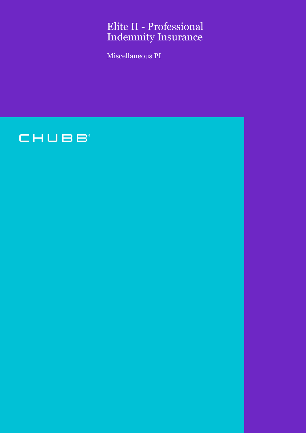# Elite II - Professional Indemnity Insurance

Miscellaneous PI

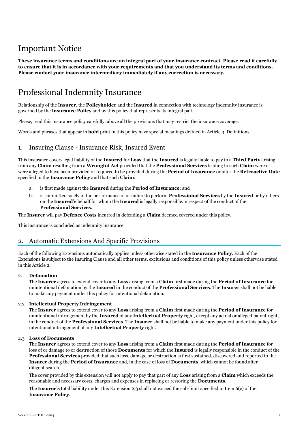## Important Notice

**These insurance terms and conditions are an integral part of your insurance contract. Please read it carefully to ensure that it is in accordance with your requirements and that you understand its terms and conditions. Please contact your insurance intermediary immediately if any correction is necessary.**

## Professional Indemnity Insurance

Relationship of the I**nsurer**, the **Policyholder** and the I**nsured** in connection with technology indemnity insurance is governed by the I**nsurance Policy** and by this policy that represents its integral part.

Please, read this insurance policy carefully, above all the provisions that may restrict the insurance coverage.

Words and phrases that appear in **bold** print in this policy have special meanings defined in Article 3. Definitions.

## 1. Insuring Clause - Insurance Risk, Insured Event

This insurance covers legal liability of the **Insured** for **Loss** that the **Insured** is legally liable to pay to a **Third Party** arising from any **Claim** resulting from a **Wrongful Act** provided that the **Professional Services** leading to such **Claim** were or were alleged to have been provided or required to be provided during the **Period of Insurance** or after the **Retroactive Date** specified in the **Insurance Policy** and that such **Claim**:

- a. is first made against the **Insured** during the **Period of Insurance**; and
- b. is committed solely in the performance of or failure to perform **Professional Services** by the **Insured** or by others on the **Insured's** behalf for whom the **Insured** is legally responsible.in respect of the conduct of the **Professional Services**.

The **Insurer** will pay **Defence Costs** incurred in defending a **Claim** deemed covered under this policy.

This insurance is concluded as indemnity insurance.

## 2. Automatic Extensions And Specific Provisions

Each of the following Extensions automatically applies unless otherwise stated in the **Insurance Policy**. Each of the Extensions is subject to the Insuring Clause and all other terms, exclusions and conditions of this policy unless otherwise stated in this Article 2.

#### 2.1 **Defamation**

The **Insurer** agrees to extend cover to any **Loss** arising from a **Claim** first made during the **Period of Insurance** for unintentional defamation by the **Insured** in the conduct of the **Professional Services**. The **Insurer** shall not be liable to make any payment under this policy for intentional defamation.

#### 2.2 **Intellectual Property Infringement**

The **Insurer** agrees to extend cover to any **Loss** arising from a **Claim** first made during the **Period of Insurance** for unintentional infringement by the **Insured** of any **Intellectual Property** right, except any actual or alleged patent right, in the conduct of the **Professional Services**. The **Insurer** shall not be liable to make any payment under this policy for intentional infringement of any **Intellectual Property** right.

#### 2.3 **Loss of Documents**

The **Insurer** agrees to extend cover to any **Loss** arising from a **Claim** first made during the **Period of Insurance** for loss of or damage to or destruction of those **Documents** for which the **Insured** is legally responsible in the conduct of the **Professional Services** provided that such loss, damage or destruction is first sustained, discovered and reported to the **Insurer** during the **Period of Insurance** and, in the case of loss of **Documents**, which cannot be found after diligent search.

The cover provided by this extension will not apply to pay that part of any **Loss** arising from a **Claim** which exceeds the reasonable and necessary costs, charges and expenses in replacing or restoring the **Documents**.

The **Insurer's** total liability under this Extension 2.3 shall not exceed the sub-limit specified in Item 6(c) of the **Insurance Policy**.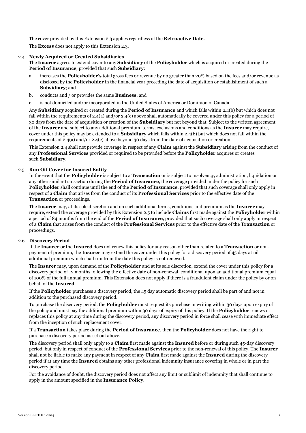The cover provided by this Extension 2.3 applies regardless of the **Retroactive Date**.

The **Excess** does not apply to this Extension 2.3.

#### 2.4 **Newly Acquired or Created Subsidiaries**

The **Insurer** agrees to extend cover to any **Subsidiary** of the **Policyholder** which is acquired or created during the **Period of Insurance**, provided that such **Subsidiary**:

- a. increases the **Policyholder's** total gross fees or revenue by no greater than 20% based on the fees and/or revenue as disclosed by the **Policyholder** in the financial year preceding the date of acquisition or establishment of such a **Subsidiary**; and
- b. conducts and / or provides the same **Business**; and
- c. is not domiciled and/or incorporated in the United States of America or Dominion of Canada.

Any **Subsidiary** acquired or created during the **Period of Insurance** and which falls within 2.4(b) but which does not fall within the requirements of 2.4(a) and/or 2.4(c) above shall automatically be covered under this policy for a period of 30 days from the date of acquisition or creation of the **Subsidiary** but not beyond that. Subject to the written agreement of the **Insurer** and subject to any additional premium, terms, exclusions and conditions as the **Insurer** may require, cover under this policy may be extended to a **Subsidiary** which falls within 2.4(b) but which does not fall within the requirements of 2.4(a) and/or 2.4(c) above beyond 30 days from the date of acquisition or creation.

This Extension 2.4 shall not provide coverage in respect of any **Claim** against the **Subsidiary** arising from the conduct of any **Professional Services** provided or required to be provided before the **Policyholder** acquires or creates such **Subsidiary**.

#### 2.5 **Run Off Cover for Insured Entity**

In the event that the **Policyholder** is subject to a **Transaction** or is subject to insolvency, administration, liquidation or any other similar transaction during the **Period of Insurance**, the coverage provided under the policy for such **Policyholder** shall continue until the end of the **Period of Insurance**, provided that such coverage shall only apply in respect of a **Claim** that arises from the conduct of its **Professional Services** prior to the effective date of the **Transaction** or proceedings.

The **Insurer** may, at its sole discretion and on such additional terms, conditions and premium as the **Insurer** may require, extend the coverage provided by this Extension 2.5 to include **Claims** first made against the **Policyholder** within a period of 84 months from the end of the **Period of Insurance**, provided that such coverage shall only apply in respect of a **Claim** that arises from the conduct of the **Professional Services** prior to the effective date of the **Transaction** or proceedings.

#### 2.6 **Discovery Period**

If the **Insurer** or the **Insured** does not renew this policy for any reason other than related to a **Transaction** or nonpayment of premium, the **Insurer** may extend the cover under this policy for a discovery period of 45 days at nil additional premium which shall run from the date this policy is not renewed.

The **Insurer** may, upon demand of the **Policyholder** and at its sole discretion, extend the cover under this policy for a discovery period of 12 months following the effective date of non-renewal, conditional upon an additional premium equal of 100% of the full annual premium. This Extension does not apply if there is a fraudulent claim under the policy by or on behalf of the **Insured**.

If the **Policyholder** purchases a discovery period, the 45 day automatic discovery period shall be part of and not in addition to the purchased discovery period.

To purchase the discovery period, the **Policyholder** must request its purchase in writing within 30 days upon expiry of the policy and must pay the additional premium within 30 days of expiry of this policy. If the **Policyholder** renews or replaces this policy at any time during the discovery period, any discovery period in force shall cease with immediate effect from the inception of such replacement cover.

If a **Transaction** takes place during the **Period of Insurance**, then the **Policyholder** does not have the right to purchase a discovery period as set out above.

The discovery period shall only apply to a **Claim** first made against the **Insured** before or during such 45-day discovery period, but only in respect of conduct of the **Professional Services** prior to the non-renewal of this policy. The **Insurer** shall not be liable to make any payment in respect of any **Claim** first made against the **Insured** during the discovery period if at any time the **Insured** obtains any other professional indemnity insurance covering in whole or in part the discovery period.

For the avoidance of doubt, the discovery period does not affect any limit or sublimit of indemnity that shall continue to apply in the amount specified in the **Insurance Policy**.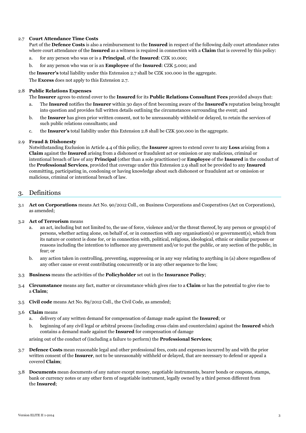#### 2.7 **Court Attendance Time Costs**

Part of the **Defence Costs** is also a reimbursement to the **Insured** in respect of the following daily court attendance rates where court attendance of the **Insured** as a witness is required in connection with a **Claim** that is covered by this policy:

- a. for any person who was or is a **Principal**, of the **Insured**: CZK 10.000;
- b. for any person who was or is an **Employee** of the **Insured**: CZK 5.000; and
- the **Insurer's** total liability under this Extension 2.7 shall be CZK 100.000 in the aggregate.

The **Excess** does not apply to this Extension 2.7.

#### 2.8 **Public Relations Expenses**

- The **Insurer** agrees to extend cover to the **Insured** for its **Public Relations Consultant Fees** provided always that:
- a. The **Insured** notifies the **Insurer** within 30 days of first becoming aware of the **Insured's** reputation being brought into question and provides full written details outlining the circumstances surrounding the event; and
- b. the **Insurer** has given prior written consent, not to be unreasonably withheld or delayed, to retain the services of such public relations consultants; and
- c. the **Insurer's** total liability under this Extension 2.8 shall be CZK 500.000 in the aggregate.

#### 2.9 **Fraud & Dishonesty**

Notwithstanding Exclusion in Article 4.4 of this policy, the **Insurer** agrees to extend cover to any **Loss** arising from a **Claim** against the **Insured** arising from a dishonest or fraudulent act or omission or any malicious, criminal or intentional breach of law of any **Principal** (other than a sole practitioner) or **Employee** of the **Insured** in the conduct of the **Professional Services**, provided that coverage under this Extension 2.9 shall not be provided to any **Insured** committing, participating in, condoning or having knowledge about such dishonest or fraudulent act or omission or malicious, criminal or intentional breach of law.

### 3. Definitions

3.1 **Act on Corporations** means Act No. 90/2012 Coll., on Business Corporations and Cooperatives (Act on Corporations), as amended;

#### 3.2 **Act of Terrorism** means

- a. an act, including but not limited to, the use of force, violence and/or the threat thereof, by any person or group(s) of persons, whether acting alone, on behalf of, or in connection with any organisation(s) or government(s), which from its nature or context is done for, or in connection with, political, religious, ideological, ethnic or similar purposes or reasons including the intention to influence any government and/or to put the public, or any section of the public, in fear; or
- b. any action taken in controlling, preventing, suppressing or in any way relating to anything in (a) above regardless of any other cause or event contributing concurrently or in any other sequence to the loss;
- 3.3 **Business** means the activities of the **Policyholder** set out in the **Insurance Policy**;
- 3.4 **Circumstance** means any fact, matter or circumstance which gives rise to a **Claim** or has the potential to give rise to a **Claim**;
- 3.5 **Civil code** means Act No. 89/2012 Coll., the Civil Code, as amended;
- 3.6 **Claim** means
	- a. delivery of any written demand for compensation of damage made against the **Insured**; or
	- b. beginning of any civil legal or arbitral process (including cross claim and counterclaim) against the **Insured** which contains a demand made against the **Insured** for compensation of damage

arising out of the conduct of (including a failure to perform) the **Professional Services**;

- 3.7 **Defence Costs** mean reasonable legal and other professional fees, costs and expenses incurred by and with the prior written consent of the **Insurer**, not to be unreasonably withheld or delayed, that are necessary to defend or appeal a covered **Claim**;
- 3.8 **Documents** mean documents of any nature except money, negotiable instruments, bearer bonds or coupons, stamps, bank or currency notes or any other form of negotiable instrument, legally owned by a third person different from the **Insured**;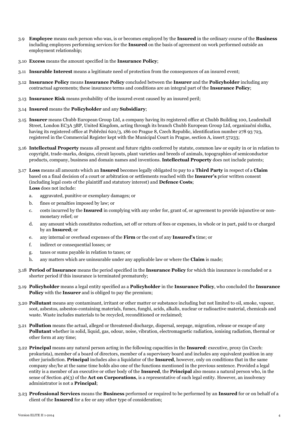- 3.9 **Employee** means each person who was, is or becomes employed by the **Insured** in the ordinary course of the **Business** including employees performing services for the **Insured** on the basis of agreement on work performed outside an employment relationship;
- 3.10 **Excess** means the amount specified in the **Insurance Policy**;
- 3.11 **Insurable Interest** means a legitimate need of protection from the consequences of an insured event;
- 3.12 **Insurance Policy** means **Insurance Policy** concluded between the **Insurer** and the **Policyholder** including any contractual agreements; these insurance terms and conditions are an integral part of the **Insurance Policy**;
- 3.13 **Insurance Risk** means probability of the insured event caused by an insured peril;
- 3.14 **Insured** means the **Policyholder** and any **Subsidiary**;
- 3.15 **Insurer** means Chubb European Group Ltd, a company having its registered office at Chubb Building 100, Leadenhall Street, London EC3A 3BP, United Kingdom, acting through its branch Chubb European Group Ltd, organizační složka, having its registered office at Pobřežní 620/3, 186 00 Prague 8, Czech Republic, identification number 278 93 723, registered in the Commercial Register kept with the Municipal Court in Prague, section A, insert 57233;
- 3.16 **Intellectual Property** means all present and future rights conferred by statute, common law or equity in or in relation to copyright, trade-marks, designs, circuit layouts, plant varieties and breeds of animals, topographies of semiconductor products, company, business and domain names and inventions. **Intellectual Property** does not include patents;
- 3.17 **Loss** means all amounts which an **Insured** becomes legally obligated to pay to a **Third Party** in respect of a **Claim** based on a final decision of a court or arbitration or settlements reached with the **Insurer's** prior written consent (including legal costs of the plaintiff and statutory interest) and **Defence Costs**; **Loss** does not include:
	- a. aggravated, punitive or exemplary damages; or
	- b. fines or penalties imposed by law; or
	- c. costs incurred by the **Insured** in complying with any order for, grant of, or agreement to provide injunctive or nonmonetary relief; or
	- d. any amount which constitutes reduction, set off or return of fees or expenses, in whole or in part, paid to or charged by an **Insured**; or
	- e. any internal or overhead expenses of the **Firm** or the cost of any **Insured's** time; or
	- f. indirect or consequential losses; or
	- g. taxes or sums payable in relation to taxes; or
	- h. any matters which are uninsurable under any applicable law or where the **Claim** is made;
- 3.18 **Period of Insurance** means the period specified in the **Insurance Policy** for which this insurance is concluded or a shorter period if this insurance is terminated prematurely;
- 3.19 **Policyholder** means a legal entity specified as a **Policyholder** in the **Insurance Policy**, who concluded the **Insurance Policy** with the **Insurer** and is obliged to pay the premium;
- 3.20 **Pollutant** means any contaminant, irritant or other matter or substance including but not limited to oil, smoke, vapour, soot, asbestos, asbestos-containing materials, fumes, funghi, acids, alkalis, nuclear or radioactive material, chemicals and waste. Waste includes materials to be recycled, reconditioned or reclaimed;
- 3.21 **Pollution** means the actual, alleged or threatened discharge, dispersal, seepage, migration, release or escape of any **Pollutant** whether in solid, liquid, gas, odour, noise, vibration, electromagnetic radiation, ionising radiation, thermal or other form at any time;
- 3.22 **Principal** means any natural person acting in the following capacities in the **Insured**: executive, proxy (in Czech: prokurista), member of a board of directors, member of a supervisory board and includes any equivalent position in any other jurisdiction. **Principal** includes also a liquidator of the **Insured**, however, only on conditions that in the same company she/he at the same time holds also one of the functions mentioned in the previous sentence. Provided a legal entity is a member of an executive or other body of the **Insured**, the **Principal** also means a natural person who, in the sense of Section 46(3) of the **Act on Corporations**, is a representative of such legal entity. However, an insolvency administrator is not a **Principal**;
- 3.23 **Professional Services** means the **Business** performed or required to be performed by an **Insured** for or on behalf of a client of the **Insured** for a fee or any other type of consideration;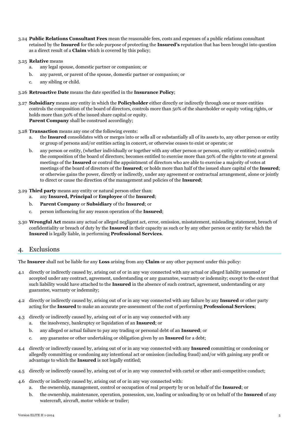3.24 **Public Relations Consultant Fees** mean the reasonable fees, costs and expenses of a public relations consultant retained by the **Insured** for the sole purpose of protecting the **Insured's** reputation that has been brought into question as a direct result of a **Claim** which is covered by this policy;

#### 3.25 **Relative** means

- a. any legal spouse, domestic partner or companion; or
- b. any parent, or parent of the spouse, domestic partner or companion; or
- c. any sibling or child.
- 3.26 **Retroactive Date** means the date specified in the **Insurance Policy**;
- 3.27 **Subsidiary** means any entity in which the **Policyholder** either directly or indirectly through one or more entities controls the composition of the board of directors, controls more than 50% of the shareholder or equity voting rights, or holds more than 50% of the issued share capital or equity. **Parent Company** shall be construed accordingly;

#### 3.28 **Transaction** means any one of the following events:

- a. the **Insured** consolidates with or merges into or sells all or substantially all of its assets to, any other person or entity or group of persons and/or entities acting in concert, or otherwise ceases to exist or operate; or
- b. any person or entity, (whether individually or together with any other person or persons, entity or entities) controls the composition of the board of directors; becomes entitled to exercise more than 50% of the rights to vote at general meetings of the **Insured** or control the appointment of directors who are able to exercise a majority of votes at meetings of the board of directors of the **Insured**; or holds more than half of the issued share capital of the **Insured**; or otherwise gains the power, directly or indirectly, under any agreement or contractual arrangement, alone or jointly to direct or cause the direction of the management and policies of the **Insured**;

#### 3.29 **Third party** means any entity or natural person other than:

- a. any **Insured, Principal** or **Employee** of the **Insured**;
- b. **Parent Company** or **Subsidiary** of the **Insured**; or
- c. person influencing for any reason operation of the **Insured**;
- 3.30 **Wrongful Act** means any actual or alleged negligent act, error, omission, misstatement, misleading statement, breach of confidentiality or breach of duty by the **Insured** in their capacity as such or by any other person or entity for which the **Insured** is legally liable, in performing **Professional Services**.

#### 4. Exclusions

The **Insurer** shall not be liable for any **Loss** arising from any **Claim** or any other payment under this policy:

- 4.1 directly or indirectly caused by, arising out of or in any way connected with any actual or alleged liability assumed or accepted under any contract, agreement, understanding or any guarantee, warranty or indemnity; except to the extent that such liability would have attached to the **Insured** in the absence of such contract, agreement, understanding or any guarantee, warranty or indemnity;
- 4.2 directly or indirectly caused by, arising out of or in any way connected with any failure by any **Insured** or other party acting for the **Insured** to make an accurate pre-assessment of the cost of performing **Professional Services**;
- 4.3 directly or indirectly caused by, arising out of or in any way connected with any
	- a. the insolvency, bankruptcy or liquidation of an **Insured**; or
	- b. any alleged or actual failure to pay any trading or personal debt of an **Insured**; or
	- c. any guarantee or other undertaking or obligation given by an **Insured** for a debt;
- 4.4 directly or indirectly caused by, arising out of or in any way connected with any **Insured** committing or condoning or allegedly committing or condoning any intentional act or omission (including fraud) and/or with gaining any profit or advantage to which the **Insured** is not legally entitled;
- 4.5 directly or indirectly caused by, arising out of or in any way connected with cartel or other anti-competitive conduct;
- 4.6 directly or indirectly caused by, arising out of or in any way connected with:
	- a. the ownership, management, control or occupation of real property by or on behalf of the **Insured**; or
	- b. the ownership, maintenance, operation, possession, use, loading or unloading by or on behalf of the **Insured** of any watercraft, aircraft, motor vehicle or trailer;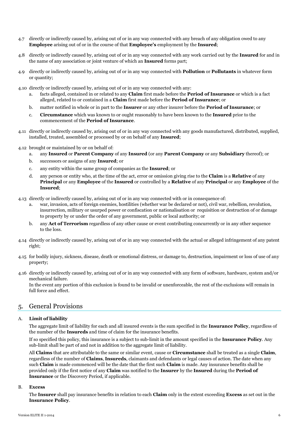- 4.7 directly or indirectly caused by, arising out of or in any way connected with any breach of any obligation owed to any **Employee** arising out of or in the course of that **Employee's** employment by the **Insured**;
- 4.8 directly or indirectly caused by, arising out of or in any way connected with any work carried out by the **Insured** for and in the name of any association or joint venture of which an **Insured** forms part;
- 4.9 directly or indirectly caused by, arising out of or in any way connected with **Pollution** or **Pollutants** in whatever form or quantity;
- 4.10 directly or indirectly caused by, arising out of or in any way connected with any:
	- a. facts alleged, contained in or related to any **Claim** first made before the **Period of Insurance** or which is a fact alleged, related to or contained in a **Claim** first made before the **Period of Insurance**; or
	- b. matter notified in whole or in part to the **Insurer** or any other insurer before the **Period of Insurance**; or
	- c. **Circumstance** which was known to or ought reasonably to have been known to the **Insured** prior to the commencement of the **Period of Insurance**.
- 4.11 directly or indirectly caused by, arising out of or in any way connected with any goods manufactured, distributed, supplied, installed, treated, assembled or processed by or on behalf of any **Insured**;
- 4.12 brought or maintained by or on behalf of:
	- a. any **Insured** or **Parent Company** of any **Insured** (or any **Parent Company** or any **Subsidiary** thereof); or
	- b. successors or assigns of any **Insured**; or
	- c. any entity within the same group of companies as the **Insured**; or
	- d. any person or entity who, at the time of the act, error or omission giving rise to the **Claim** is a **Relative** of any **Principal** or any **Employee** of the **Insured** or controlled by a **Relative** of any **Principal** or any **Employee** of the **Insured**;
- 4.13 directly or indirectly caused by, arising out of or in any way connected with or in consequence of:
	- a. war, invasion, acts of foreign enemies, hostilities (whether war be declared or not), civil war, rebellion, revolution, insurrection, military or usurped power or confiscation or nationalisation or requisition or destruction of or damage to property by or under the order of any government, public or local authority; or
	- b. any **Act of Terrorism** regardless of any other cause or event contributing concurrently or in any other sequence to the loss.
- 4.14 directly or indirectly caused by, arising out of or in any way connected with the actual or alleged infringement of any patent right;
- 4.15 for bodily injury, sickness, disease, death or emotional distress, or damage to, destruction, impairment or loss of use of any property;
- 4.16 directly or indirectly caused by, arising out of or in any way connected with any form of software, hardware, system and/or mechanical failure.

In the event any portion of this exclusion is found to be invalid or unenforceable, the rest of the exclusions will remain in full force and effect.

### 5. General Provisions

#### A. **Limit of liability**

The aggregate limit of liability for each and all insured events is the sum specified in the **Insurance Policy**, regardless of the number of the **Insureds** and time of claim for the insurance benefits.

If so specified this policy, this insurance is a subject to sub-limit in the amount specified in the **Insurance Policy**. Any sub-limit shall be part of and not in addition to the aggregate limit of liability.

All **Claims** that are attributable to the same or similar event, cause or **Circumstance** shall be treated as a single **Claim**, regardless of the number of **Claims**, **Insureds**, claimants and defendants or legal causes of action. The date when any such **Claim** is made commenced will be the date that the first such **Claim** is made. Any insurance benefits shall be provided only if the first notice of any **Claim** was notified to the **Insurer** by the **Insured** during the **Period of Insurance** or the Discovery Period, if applicable.

#### B. **Excess**

The **Insurer** shall pay insurance benefits in relation to each **Claim** only in the extent exceeding **Excess** as set out in the **Insurance Policy**.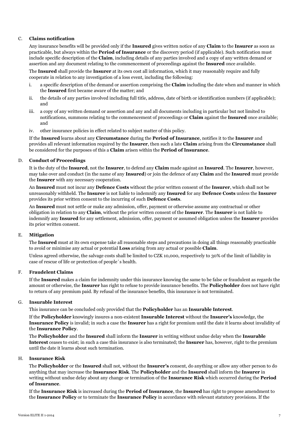#### C. **Claims notification**

Any insurance benefits will be provided only if the **Insured** gives written notice of any **Claim** to the **Insurer** as soon as practicable, but always within the **Period of Insurance** or the discovery period (if applicable). Such notification must include specific description of the **Claim**, including details of any parties involved and a copy of any written demand or assertion and any document relating to the commencement of proceedings against the **Insured** once available.

The **Insured** shall provide the **Insurer** at its own cost all information, which it may reasonably require and fully cooperate in relation to any investigation of a loss event, including the following:

- i. a specific description of the demand or assertion comprising the **Claim** including the date when and manner in which the **Insured** first became aware of the matter; and
- ii. the details of any parties involved including full title, address, date of birth or identification numbers (if applicable); and
- iii. a copy of any written demand or assertion and any and all documents including in particular but not limited to notifications, summons relating to the commencement of proceedings or **Claim** against the **Insured** once available; and
- iv. other insurance policies in effect related to subject matter of this policy.

If the **Insured** learns about any **Circumstance** during the **Period of Insurance**, notifies it to the **Insurer** and provides all relevant information required by the **Insurer**, then such a late **Claim** arising from the **Circumstance** shall be considered for the purposes of this a **Claim** arisen within the **Period of Insurance**.

#### D. **Conduct of Proceedings**

It is the duty of the **Insured**, not the **Insurer**, to defend any **Claim** made against an **Insured**. The **Insurer**, however, may take over and conduct (in the name of any **Insured**) or join the defence of any **Claim** and the **Insured** must provide the **Insurer** with any necessary cooperation.

An **Insured** must not incur any **Defence Costs** without the prior written consent of the **Insurer**, which shall not be unreasonably withheld. The **Insurer** is not liable to indemnify any **Insured** for any **Defence Costs** unless the **Insurer** provides its prior written consent to the incurring of such **Defence Costs**.

An **Insured** must not settle or make any admission, offer, payment or otherwise assume any contractual or other obligation in relation to any **Claim**, without the prior written consent of the **Insurer**. The **Insurer** is not liable to indemnify any **Insured** for any settlement, admission, offer, payment or assumed obligation unless the **Insurer** provides its prior written consent.

#### E. **Mitigation**

The **Insured** must at its own expense take all reasonable steps and precautions in doing all things reasonably practicable to avoid or minimise any actual or potential **Loss** arising from any actual or possible **Claim**.

Unless agreed otherwise, the salvage costs shall be limited to CZK 10,000, respectively to 30% of the limit of liability in case of rescue of life or protection of people´s health.

#### F. **Fraudelent Claims**

If the **Insured** makes a claim for indemnity under this insurance knowing the same to be false or fraudulent as regards the amount or otherwise, the **Insurer** has right to refuse to provide insurance benefits. The **Policyholder** does not have right to return of any premium paid. By refusal of the insurance benefits, this insurance is not terminated.

#### G. **Insurable Interest**

This insurance can be concluded only provided that the **Policyholder** has an **Insurable Interest**.

If the **Policyholder** knowingly insures a non-existent **Insurable Interest** without the **Insurer's** knowledge, the **Insurance Policy** is invalid; in such a case the **Insurer** has a right for premium until the date it learns about invalidity of the **Insurance Policy**.

The **Policyholder** and the **Insured** shall inform the **Insurer** in writing without undue delay when the **Insurable Interest** ceases to exist; in such a case this insurance is also terminated; the **Insurer** has, however, right to the premium until the date it learns about such termination.

#### H. **Insurance Risk**

The **Policyholder** or the **Insured** shall not, without the **Insurer's** consent, do anything or allow any other person to do anything that may increase the **Insurance Risk**. The **Policyholder** and the **Insured** shall inform the **Insurer** in writing without undue delay about any change or termination of the **Insurance Risk** which occurred during the **Period of Insurance**.

If the **Insurance Risk** is increased during the **Period of Insurance**, the **Insured** has right to propose amendment to the **Insurance Policy** or to terminate the **Insurance Policy** in accordance with relevant statutory provisions. If the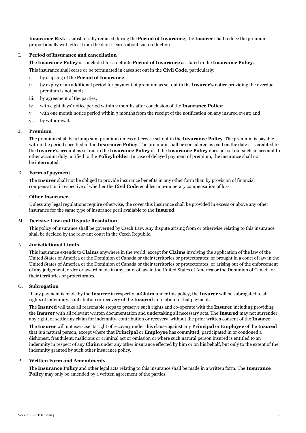**Insurance Risk** is substantially reduced during the **Period of Insurance**, the **Insurer** shall reduce the premium proportionally with effect from the day it learns about such reduction.

#### I. **Period of Insurance and cancellation**

The **Insurance Policy** is concluded for a definite **Period of Insurance** as stated in the **Insurance Policy**.

This insurance shall cease or be terminated in cases set out in the **Civil Code**, particularly:

- i. by elapsing of the **Period of Insurance**;
- ii. by expiry of an additional period for payment of premium as set out in the **Insurer's** notice providing the overdue premium is not paid;
- iii. by agreement of the parties;
- iv. with eight days' notice period within 2 months after conclusion of the **Insurance Policy**;
- v. with one month notice period within 3 months from the receipt of the notification on any insured event; and
- vi. by withdrawal.

#### J. **Premium**

The premium shall be a lump sum premium unless otherwise set out in the **Insurance Policy**. The premium is payable within the period specified in the **Insurance Policy**. The premium shall be considered as paid on the date it is credited to the **Insurer's** account as set out in the **Insurance Policy** or if the **Insurance Policy** does not set out such an account to other account duly notified to the **Policyholder**. In case of delayed payment of premium, the insurance shall not be interrupted.

#### K. **Form of payment**

The **Insurer** shall not be obliged to provide insurance benefits in any other form than by provision of financial compensation irrespective of whether the **Civil Code** enables non-monetary compensation of loss.

#### L. **Other Insurance**

Unless any legal regulations require otherwise, the cover this insurance shall be provided in excess or above any other insurance for the same type of insurance peril available to the **Insured**.

#### M. **Decisive Law and Dispute Resolution**

This policy of insurance shall be governed by Czech Law. Any dispute arising from or otherwise relating to this insurance shall be decided by the relevant court in the Czech Republic.

#### N. **Jurisdictional Limits**

This insurance extends to **Claims** anywhere in the world, except for **Claims** involving the application of the law of the United States of America or the Dominion of Canada or their territories or protectorates; or brought in a court of law in the United States of America or the Dominion of Canada or their territories or protectorates; or arising out of the enforcement of any judgement, order or award made in any court of law in the United States of America or the Dominion of Canada or their territories or protectorates.

#### O. **Subrogation**

If any payment is made by the **Insurer** in respect of a **Claim** under this policy, the **Insurer** will be subrogated to all rights of indemnity, contribution or recovery of the **Insured** in relation to that payment.

The **Insured** will take all reasonable steps to preserve such rights and co-operate with the **Insurer** including providing the **Insurer** with all relevant written documentation and undertaking all necessary acts. The **Insured** may not surrender any right, or settle any claim for indemnity, contribution or recovery, without the prior written consent of the **Insurer**.

The **Insurer** will not exercise its right of recovery under this clause against any **Principal** or **Employee** of the **Insured** that is a natural person, except where that **Principal** or **Employee** has committed, participated in or condoned a dishonest, fraudulent, malicious or criminal act or omission or where such natural person insured is entitled to an indemnity in respect of any **Claim** under any other insurance effected by him or on his behalf, but only to the extent of the indemnity granted by such other insurance policy.

#### P. **Written Form and Amendments**

The **Insurance Policy** and other legal acts relating to this insurance shall be made in a written form. The **Insurance Policy** may only be amended by a written agreement of the parties.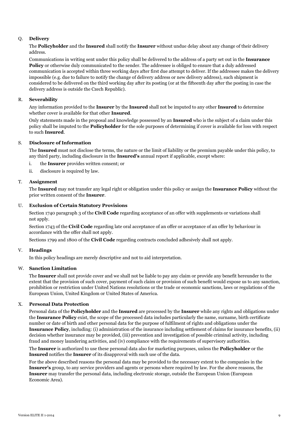#### Q. **Delivery**

The **Policyholder** and the **Insured** shall notify the **Insurer** without undue delay about any change of their delivery address.

Communications in writing sent under this policy shall be delivered to the address of a party set out in the **Insurance Policy** or otherwise duly communicated to the sender. The addressee is obliged to ensure that a duly addressed communication is accepted within three working days after first due attempt to deliver. If the addressee makes the delivery impossible (e.g. due to failure to notify the change of delivery address or new delivery address), such shipment is considered to be delivered on the third working day after its posting (or at the fifteenth day after the posting in case the delivery address is outside the Czech Republic).

#### R. **Severability**

Any information provided to the **Insurer** by the **Insured** shall not be imputed to any other **Insured** to determine whether cover is available for that other **Insured**.

Only statements made in the proposal and knowledge possessed by an **Insured** who is the subject of a claim under this policy shall be imputed to the **Policyholder** for the sole purposes of determining if cover is available for loss with respect to such **Insured**.

#### S. **Disclosure of Information**

The **Insured** must not disclose the terms, the nature or the limit of liability or the premium payable under this policy, to any third party, including disclosure in the **Insured's** annual report if applicable, except where:

- i. the **Insurer** provides written consent; or
- ii. disclosure is required by law.

#### T. **Assignment**

The **Insured** may not transfer any legal right or obligation under this policy or assign the **Insurance Policy** without the prior written consent of the **Insurer**.

#### U. **Exclusion of Certain Statutory Provisions**

Section 1740 paragraph 3 of the **Civil Code** regarding acceptance of an offer with supplements or variations shall not apply.

Section 1743 of the **Civil Code** regarding late oral acceptance of an offer or acceptance of an offer by behaviour in accordance with the offer shall not apply.

Sections 1799 and 1800 of the **Civil Code** regarding contracts concluded adhesively shall not apply.

#### V. **Headings**

In this policy headings are merely descriptive and not to aid interpretation.

#### W. **Sanction Limitation**

The **Insurer** shall not provide cover and we shall not be liable to pay any claim or provide any benefit hereunder to the extent that the provision of such cover, payment of such claim or provision of such benefit would expose us to any sanction, prohibition or restriction under United Nations resolutions or the trade or economic sanctions, laws or regulations of the European Union, United Kingdom or United States of America.

#### X. **Personal Data Protection**

Personal data of the **Policyholder** and the **Insured** are processed by the **Insurer** while any rights and obligations under the **Insurance Policy** exist, the scope of the processed data includes particularly the name, surname, birth certificate number or date of birth and other personal data for the purpose of fulfilment of rights and obligations under the **Insurance Policy**, including: (i) administration of the insurance including settlement of claims for insurance benefits, (ii) decision whether insurance may be provided, (iii) prevention and investigation of possible criminal activity, including fraud and money laundering activities, and (iv) compliance with the requirements of supervisory authorities.

The **Insurer** is authorized to use these personal data also for marketing purposes, unless the **Policyholder** or the **Insured** notifies the **Insurer** of its disapproval with such use of the data.

For the above described reasons the personal data may be provided to the necessary extent to the companies in the **Insurer's** group, to any service providers and agents or persons where required by law. For the above reasons, the **Insurer** may transfer the personal data, including electronic storage, outside the European Union (European Economic Area).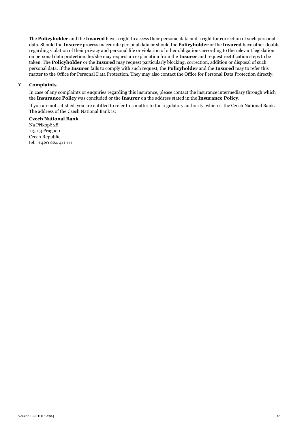The **Policyholder** and the **Insured** have a right to access their personal data and a right for correction of such personal data. Should the **Insurer** process inaccurate personal data or should the P**olicyholder** or the **Insured** have other doubts regarding violation of their privacy and personal life or violation of other obligations according to the relevant legislation on personal data protection, he/she may request an explanation from the **Insurer** and request rectification steps to be taken. The **Policyholder** or the **Insured** may request particularly blocking, correction, addition or disposal of such personal data. If the **Insurer** fails to comply with such request, the **Policyholder** and the **Insured** may to refer this matter to the Office for Personal Data Protection. They may also contact the Office for Personal Data Protection directly.

#### Y. **Complaints**

In case of any complaints or enquiries regarding this insurance, please contact the insurance intermediary through which the **Insurance Policy** was concluded or the **Insurer** on the address stated in the **Insurance Policy**.

If you are not satisfied, you are entitled to refer this matter to the regulatory authority, which is the Czech National Bank. The address of the Czech National Bank is:

**Czech National Bank** Na Příkopě 28 115 03 Prague 1 Czech Republic tel.: +420 224 411 111